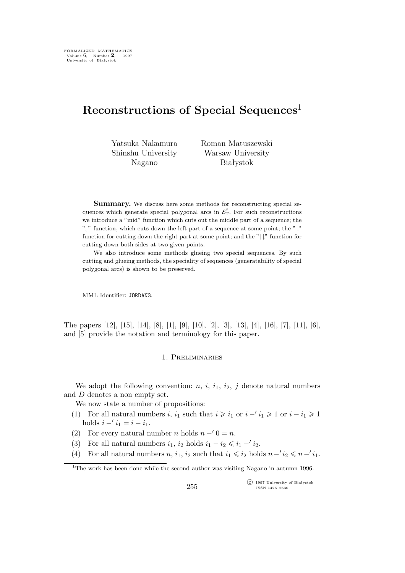# **Reconstructions of Special Sequences**<sup>1</sup>

Yatsuka Nakamura Shinshu University Nagano

Roman Matuszewski Warsaw University Białystok

**Summary.** We discuss here some methods for reconstructing special sequences which generate special polygonal arcs in  $\mathcal{E}_T^2$ . For such reconstructions we introduce a "mid" function which cuts out the middle part of a sequence; the "]" function, which cuts down the left part of a sequence at some point; the " $\vert$ " function for cutting down the right part at some point; and the " $\parallel$ !" function for cutting down both sides at two given points.

We also introduce some methods glueing two special sequences. By such cutting and glueing methods, the speciality of sequences (generatability of special polygonal arcs) is shown to be preserved.

MML Identifier: JORDAN3.

The papers [12], [15], [14], [8], [1], [9], [10], [2], [3], [13], [4], [16], [7], [11], [6], and [5] provide the notation and terminology for this paper.

### 1. Preliminaries

We adopt the following convention:  $n, i, i_1, i_2, j$  denote natural numbers and D denotes a non empty set.

We now state a number of propositions:

- (1) For all natural numbers *i*,  $i_1$  such that  $i \geq i_1$  or  $i 'i_1 \geq 1$  or  $i i_1 \geq 1$ holds  $i - 'i_1 = i - i_1$ .
- (2) For every natural number *n* holds  $n 0 = n$ .
- (3) For all natural numbers  $i_1$ ,  $i_2$  holds  $i_1 i_2 \leq i_1 i_2$ .
- (4) For all natural numbers  $n, i_1, i_2$  such that  $i_1 \leq i_2$  holds  $n-i_2 \leq n-i_1$ .

 $\widehat{\mathbb{C}}$  1997 University of Białystok ISSN 1426–2630

<sup>&</sup>lt;sup>1</sup>The work has been done while the second author was visiting Nagano in autumn 1996.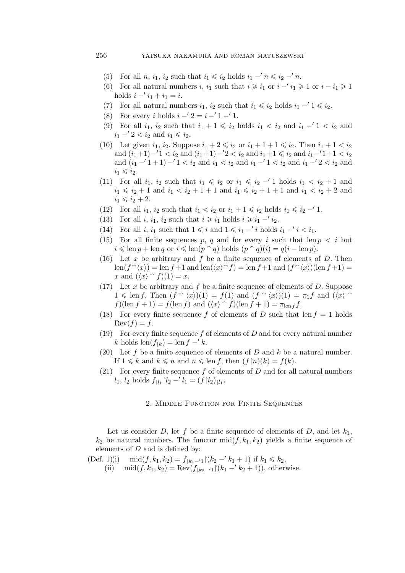- (5) For all  $n, i_1, i_2$  such that  $i_1 \leq i_2$  holds  $i_1 'n \leq i_2 'n$ .
- (6) For all natural numbers *i*,  $i_1$  such that  $i \geq i_1$  or  $i 'i_1 \geq 1$  or  $i i_1 \geq 1$ holds  $i - 'i_1 + i_1 = i$ .
- (7) For all natural numbers  $i_1$ ,  $i_2$  such that  $i_1 \leq i_2$  holds  $i_1 1 \leq i_2$ .
- (8) For every i holds i *−′* 2 = i *−′* 1 *−′* 1.
- (9) For all  $i_1$ ,  $i_2$  such that  $i_1 + 1 \leq i_2$  holds  $i_1 < i_2$  and  $i_1 1 < i_2$  and  $i_1$  −′ 2 <  $i_2$  and  $i_1$  ≤  $i_2$ .
- (10) Let given  $i_1, i_2$ . Suppose  $i_1 + 2 \leq i_2$  or  $i_1 + 1 + 1 \leq i_2$ . Then  $i_1 + 1 < i_2$ and  $(i_1+1)-1 \le i_2$  and  $(i_1+1)-2 \le i_2$  and  $i_1+1 \le i_2$  and  $i_1-1+1 \le i_2$ and  $(i_1 - '1 + 1) - '1 < i_2$  and  $i_1 < i_2$  and  $i_1 - '1 < i_2$  and  $i_1 - '2 < i_2$  and  $i_1 \leq i_2$ .
- (11) For all  $i_1$ ,  $i_2$  such that  $i_1 \leq i_2$  or  $i_1 \leq i_2 1$  holds  $i_1 \leq i_2 + 1$  and  $i_1 \leq i_2 + 1$  and  $i_1 < i_2 + 1 + 1$  and  $i_1 \leq i_2 + 1 + 1$  and  $i_1 < i_2 + 2$  and  $i_1 \leq i_2 + 2.$
- (12) For all  $i_1, i_2$  such that  $i_1 < i_2$  or  $i_1 + 1 \leq i_2$  holds  $i_1 \leq i_2 1$ .
- (13) For all  $i, i_1, i_2$  such that  $i \geq i_1$  holds  $i \geq i_1 i_2$ .
- (14) For all  $i, i_1$  such that  $1 \leq i$  and  $1 \leq i_1 i$  holds  $i_1 i < i_1$ .
- (15) For all finite sequences p, q and for every i such that len  $p < i$  but  $i \leqslant \text{len } p + \text{len } q \text{ or } i \leqslant \text{len}(p \cap q) \text{ holds } (p \cap q)(i) = q(i - \text{len } p).$
- (16) Let x be arbitrary and f be a finite sequence of elements of  $D$ . Then  $\text{len}(f \hat{\;} \langle x \rangle) = \text{len } f + 1$  and  $\text{len}(\langle x \rangle \hat{\;} f) = \text{len } f + 1$  and  $(f \hat{\;} \langle x \rangle)(\text{len } f + 1) =$ x and  $(\langle x \rangle \cap f)(1) = x$ .
- (17) Let x be arbitrary and f be a finite sequence of elements of  $D$ . Suppose  $1 \le \text{len } f$ . Then  $(f \cap \langle x \rangle)(1) = f(1)$  and  $(f \cap \langle x \rangle)(1) = \pi_1 f$  and  $(\langle x \rangle \cap$  $f)(\operatorname{len} f + 1) = f(\operatorname{len} f)$  and  $(\langle x \rangle \cap f)(\operatorname{len} f + 1) = \pi_{\operatorname{len} f} f$ .
- (18) For every finite sequence f of elements of D such that len  $f = 1$  holds  $\text{Rev}(f) = f.$
- (19) For every finite sequence  $f$  of elements of  $D$  and for every natural number k holds len( $f_{\downarrow k}$ ) = len  $f - k$ .
- (20) Let f be a finite sequence of elements of D and k be a natural number. If  $1 \leq k$  and  $k \leq n$  and  $n \leq \text{len } f$ , then  $(f \upharpoonright n)(k) = f(k)$ .
- (21) For every finite sequence f of elements of D and for all natural numbers  $l_1, l_2 \text{ holds } f_{\vert l_1 \vert} \vert l_2 - l_1 = (f \vert l_2)_{\vert l_1}.$

#### 2. Middle Function for Finite Sequences

Let us consider D, let f be a finite sequence of elements of D, and let  $k_1$ ,  $k_2$  be natural numbers. The functor mid $(f, k_1, k_2)$  yields a finite sequence of elements of  $D$  and is defined by:

(Def. 1)(i) 
$$
\begin{array}{ll}\n\text{(Def. 1)(i)} & \text{mid}(f, k_1, k_2) = f_{|k_1 - 1|}(k_2 - k_1 + 1) & \text{if } k_1 \leq k_2, \\
\text{(ii)} & \text{mid}(f, k_1, k_2) = \text{Rev}(f_{|k_2 - 1|}(k_1 - k_2 + 1)), \text{ otherwise.}\n\end{array}
$$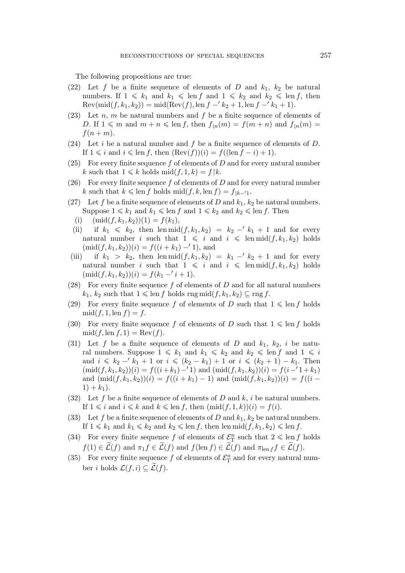The following propositions are true:

- (22) Let f be a finite sequence of elements of D and  $k_1$ ,  $k_2$  be natural numbers. If  $1 \le k_1$  and  $k_1 \le \text{len } f$  and  $1 \le k_2$  and  $k_2 \le \text{len } f$ , then  $\text{Rev}(\text{mid}(f, k_1, k_2)) = \text{mid}(\text{Rev}(f), \text{len } f - k_2 + 1, \text{len } f - k_1 + 1).$
- (23) Let n, m be natural numbers and f be a finite sequence of elements of D. If  $1 \leq m$  and  $m + n \leq \text{len } f$ , then  $f_{n}(m) = f(m+n)$  and  $f_{n}(m) =$  $f(n+m)$ .
- (24) Let i be a natural number and f be a finite sequence of elements of  $D$ . If  $1 \leq i$  and  $i \leq \text{len } f$ , then  $(\text{Rev}(f))(i) = f((\text{len } f - i) + 1)$ .
- (25) For every finite sequence f of elements of  $D$  and for every natural number k such that  $1 \leq k$  holds mid $(f, 1, k) = f[k]$ .
- (26) For every finite sequence f of elements of D and for every natural number k such that  $k \leq \text{len } f$  holds mid $(f, k, \text{len } f) = f_{\lfloor k - r \rfloor}$ .
- (27) Let f be a finite sequence of elements of D and  $k_1, k_2$  be natural numbers. Suppose  $1 \leq k_1$  and  $k_1 \leq \text{len } f$  and  $1 \leq k_2$  and  $k_2 \leq \text{len } f$ . Then
	- (i)  $(\text{mid}(f, k_1, k_2))(1) = f(k_1),$
- (ii) if  $k_1 \leq k_2$ , then len mid $(f, k_1, k_2) = k_2 k_1 + 1$  and for every natural number i such that  $1 \leq i$  and  $i \leq \text{len mid}(f, k_1, k_2)$  holds  $(\text{mid}(f, k_1, k_2))(i) = f((i + k_1) - 1)$ , and
- (iii) if  $k_1 > k_2$ , then len mid $(f, k_1, k_2) = k_1 k_2 + 1$  and for every natural number i such that  $1 \leq i$  and  $i \leq \text{len mid}(f, k_1, k_2)$  holds  $(\text{mid}(f, k_1, k_2))(i) = f(k_1 - 'i + 1).$
- (28) For every finite sequence  $f$  of elements of  $D$  and for all natural numbers  $k_1, k_2$  such that  $1 \leq \text{len } f$  holds rng mid $(f, k_1, k_2) \subseteq \text{rng } f$ .
- (29) For every finite sequence f of elements of D such that  $1 \leq \text{len } f$  holds  $mid(f, 1, len f) = f.$
- (30) For every finite sequence f of elements of D such that  $1 \leq \text{len } f$  holds  $mid(f, len f, 1) = Rev(f).$
- (31) Let f be a finite sequence of elements of D and  $k_1$ ,  $k_2$ , i be natural numbers. Suppose  $1 \leq k_1$  and  $k_1 \leq k_2$  and  $k_2 \leq \text{len } f$  and  $1 \leq i$ and  $i \leq k_2 - k_1 + 1$  or  $i \leq (k_2 - k_1) + 1$  or  $i \leq (k_2 + 1) - k_1$ . Then  $(\text{mid}(f, k_1, k_2))(i) = f((i+k_1) - 1)$  and  $(\text{mid}(f, k_1, k_2))(i) = f((i-1+k_1))$ and  $(\text{mid}(f, k_1, k_2))(i) = f((i + k_1) - 1)$  and  $(\text{mid}(f, k_1, k_2))(i) = f((i 1) + k_1$ .
- (32) Let f be a finite sequence of elements of D and k, i be natural numbers. If  $1 \leq i$  and  $i \leq k$  and  $k \leq \text{len } f$ , then  $(\text{mid}(f, 1, k))(i) = f(i)$ .
- (33) Let f be a finite sequence of elements of D and  $k_1, k_2$  be natural numbers. If  $1 \leq k_1$  and  $k_1 \leq k_2$  and  $k_2 \leq \text{len } f$ , then len mid $(f, k_1, k_2) \leq \text{len } f$ .
- (34) For every finite sequence f of elements of  $\mathcal{E}_{\rm T}^n$  such that  $2 \leqslant \text{len } f$  holds  $f(1) \in \widetilde{\mathcal{L}}(f)$  and  $\pi_1 f \in \widetilde{\mathcal{L}}(f)$  and  $f(\operatorname{len} f) \in \widetilde{\mathcal{L}}(f)$  and  $\pi_{\operatorname{len} f} f \in \widetilde{\mathcal{L}}(f)$ .
- (35) For every finite sequence f of elements of  $\mathcal{E}_{\textrm{T}}^n$  and for every natural number *i* holds  $\mathcal{L}(f, i) \subseteq \widetilde{\mathcal{L}}(f)$ .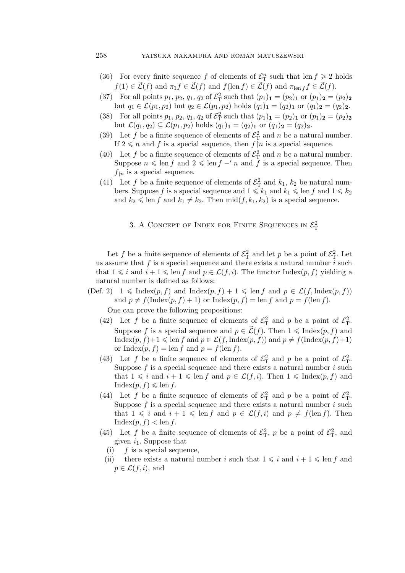### 258 yatsuka nakamura and roman matuszewski

- (36) For every finite sequence f of elements of  $\mathcal{E}_{\rm T}^n$  such that len  $f \geq 2$  holds  $f(1) \in \widetilde{\mathcal{L}}(f)$  and  $\pi_1 f \in \widetilde{\mathcal{L}}(f)$  and  $f(\operatorname{len} f) \in \widetilde{\mathcal{L}}(f)$  and  $\pi_{\operatorname{len} f} f \in \widetilde{\mathcal{L}}(f)$ .
- (37) For all points  $p_1, p_2, q_1, q_2$  of  $\mathcal{E}_{\rm T}^2$  such that  $(p_1)_{\mathbf{1}} = (p_2)_{\mathbf{1}}$  or  $(p_1)_{\mathbf{2}} = (p_2)_{\mathbf{2}}$ but  $q_1 \in \mathcal{L}(p_1, p_2)$  but  $q_2 \in \mathcal{L}(p_1, p_2)$  holds  $(q_1)_{\mathbf{1}} = (q_2)_{\mathbf{1}}$  or  $(q_1)_{\mathbf{2}} = (q_2)_{\mathbf{2}}$ .
- (38) For all points  $p_1, p_2, q_1, q_2$  of  $\mathcal{E}_{\rm T}^2$  such that  $(p_1)_{\mathbf{1}} = (p_2)_{\mathbf{1}}$  or  $(p_1)_{\mathbf{2}} = (p_2)_{\mathbf{2}}$ but  $\mathcal{L}(q_1, q_2) \subseteq \mathcal{L}(p_1, p_2)$  holds  $(q_1)_{\mathbf{1}} = (q_2)_{\mathbf{1}}$  or  $(q_1)_{\mathbf{2}} = (q_2)_{\mathbf{2}}$ .
- (39) Let f be a finite sequence of elements of  $\mathcal{E}_{\rm T}^2$  and n be a natural number. If  $2 \leq n$  and f is a special sequence, then  $f \rceil n$  is a special sequence.
- (40) Let f be a finite sequence of elements of  $\mathcal{E}_{\Gamma}^2$  and n be a natural number. Suppose  $n \leq \text{len } f$  and  $2 \leq \text{len } f - f$  and f is a special sequence. Then  $f_{\parallel n}$  is a special sequence.
- (41) Let f be a finite sequence of elements of  $\mathcal{E}_{\rm T}^2$  and  $k_1, k_2$  be natural numbers. Suppose f is a special sequence and  $1 \le k_1$  and  $k_1 \le \text{len } f$  and  $1 \le k_2$ and  $k_2 \leq \text{len } f$  and  $k_1 \neq k_2$ . Then mid $(f, k_1, k_2)$  is a special sequence.

## 3. A CONCEPT OF INDEX FOR FINITE SEQUENCES IN  $\mathcal{E}_{\textrm{T}}^2$

Let f be a finite sequence of elements of  $\mathcal{E}_{\rm T}^2$  and let p be a point of  $\mathcal{E}_{\rm T}^2$ . Let us assume that  $f$  is a special sequence and there exists a natural number  $i$  such that  $1 \leq i$  and  $i + 1 \leq \text{len } f$  and  $p \in \mathcal{L}(f, i)$ . The functor Index $(p, f)$  yielding a natural number is defined as follows:

- (Def. 2)  $1 \leq \text{Index}(p, f)$  and  $\text{Index}(p, f) + 1 \leq \text{len } f$  and  $p \in \mathcal{L}(f, \text{Index}(p, f))$ and  $p \neq f(\text{Index}(p, f) + 1)$  or  $\text{Index}(p, f) = \text{len } f$  and  $p = f(\text{len } f)$ . One can prove the following propositions:
	- (42) Let f be a finite sequence of elements of  $\mathcal{E}_{\rm T}^2$  and p be a point of  $\mathcal{E}_{\rm T}^2$ . Suppose f is a special sequence and  $p \in \widetilde{\mathcal{L}}(f)$ . Then  $1 \leq \text{Index}(p, f)$  and Index $(p, f)+1 \leq \text{len } f$  and  $p \in \mathcal{L}(f, \text{Index}(p, f))$  and  $p \neq f(\text{Index}(p, f)+1)$ or Index $(p, f) = \text{len } f$  and  $p = f(\text{len } f)$ .
	- (43) Let f be a finite sequence of elements of  $\mathcal{E}_{\rm T}^2$  and p be a point of  $\mathcal{E}_{\rm T}^2$ . Suppose  $f$  is a special sequence and there exists a natural number  $i$  such that  $1 \leq i$  and  $i + 1 \leq \text{len } f$  and  $p \in \mathcal{L}(f, i)$ . Then  $1 \leq \text{Index}(p, f)$  and  $\text{Index}(p, f) \leqslant \text{len } f.$
	- (44) Let f be a finite sequence of elements of  $\mathcal{E}_{\rm T}^2$  and p be a point of  $\mathcal{E}_{\rm T}^2$ . Suppose  $f$  is a special sequence and there exists a natural number  $i$  such that  $1 \leq i$  and  $i + 1 \leq \text{len } f$  and  $p \in \mathcal{L}(f, i)$  and  $p \neq f(\text{len } f)$ . Then  $\text{Index}(p, f) < \text{len } f.$
	- (45) Let f be a finite sequence of elements of  $\mathcal{E}_{\rm T}^2$ , p be a point of  $\mathcal{E}_{\rm T}^2$ , and given  $i_1$ . Suppose that
		- (i)  $f$  is a special sequence,
		- (ii) there exists a natural number i such that  $1 \leq i$  and  $i + 1 \leq \text{len } f$  and  $p \in \mathcal{L}(f, i)$ , and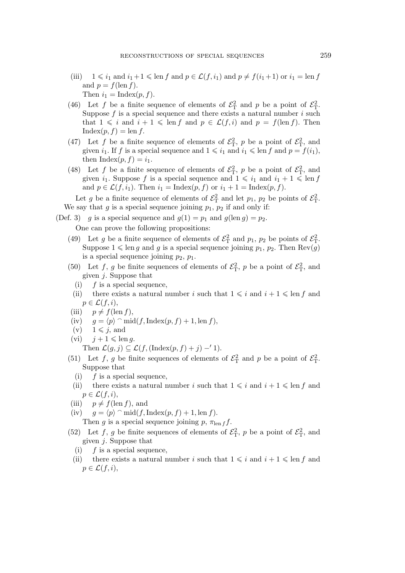- (iii)  $1 \leq i_1$  and  $i_1 + 1 \leq \text{len } f$  and  $p \in \mathcal{L}(f, i_1)$  and  $p \neq f(i_1 + 1)$  or  $i_1 = \text{len } f$ and  $p = f(\text{len } f)$ . Then  $i_1 = \text{Index}(p, f)$ .
- (46) Let f be a finite sequence of elements of  $\mathcal{E}_{\rm T}^2$  and p be a point of  $\mathcal{E}_{\rm T}^2$ . Suppose  $f$  is a special sequence and there exists a natural number  $i$  such that  $1 \leq i$  and  $i + 1 \leq \text{len } f$  and  $p \in \mathcal{L}(f, i)$  and  $p = f(\text{len } f)$ . Then  $Index(p, f) = \text{len } f.$
- (47) Let f be a finite sequence of elements of  $\mathcal{E}^2_T$ , p be a point of  $\mathcal{E}^2_T$ , and given  $i_1$ . If f is a special sequence and  $1 \leq i_1$  and  $i_1 \leq \text{len } f$  and  $p = f(i_1)$ , then Index $(p, f) = i_1$ .
- (48) Let f be a finite sequence of elements of  $\mathcal{E}_{\rm T}^2$ , p be a point of  $\mathcal{E}_{\rm T}^2$ , and given  $i_1$ . Suppose f is a special sequence and  $1 \leq i_1$  and  $i_1 + 1 \leq \text{len } f$ and  $p \in \mathcal{L}(f, i_1)$ . Then  $i_1 = \text{Index}(p, f)$  or  $i_1 + 1 = \text{Index}(p, f)$ .

Let g be a finite sequence of elements of  $\mathcal{E}_{\rm T}^2$  and let  $p_1$ ,  $p_2$  be points of  $\mathcal{E}_{\rm T}^2$ . We say that g is a special sequence joining  $p_1$ ,  $p_2$  if and only if:

(Def. 3) g is a special sequence and  $g(1) = p_1$  and  $g(\text{len } g) = p_2$ .

One can prove the following propositions:

- (49) Let g be a finite sequence of elements of  $\mathcal{E}_{\rm T}^2$  and  $p_1$ ,  $p_2$  be points of  $\mathcal{E}_{\rm T}^2$ . Suppose  $1 \leq \text{len } g$  and g is a special sequence joining  $p_1, p_2$ . Then  $\text{Rev}(g)$ is a special sequence joining  $p_2$ ,  $p_1$ .
- (50) Let f, g be finite sequences of elements of  $\mathcal{E}_{\rm T}^2$ , p be a point of  $\mathcal{E}_{\rm T}^2$ , and given  $j$ . Suppose that
	- (i)  $f$  is a special sequence,
- (ii) there exists a natural number i such that  $1 \leq i$  and  $i + 1 \leq \text{len } f$  and  $p \in \mathcal{L}(f, i),$
- (iii)  $p \neq f(\operatorname{len} f),$
- (iv)  $g = \langle p \rangle \cap \text{mid}(f, \text{Index}(p, f) + 1, \text{len } f),$
- $(v)$   $1 \leqslant j$ , and
- (vi)  $j + 1 \leqslant \text{len } q$ . Then  $\mathcal{L}(g, j) \subseteq \mathcal{L}(f, (\text{Index}(p, f) + j) - 1)$ .
- (51) Let f, g be finite sequences of elements of  $\mathcal{E}_{\rm T}^2$  and p be a point of  $\mathcal{E}_{\rm T}^2$ . Suppose that
	- (i)  $f$  is a special sequence,
- (ii) there exists a natural number i such that  $1 \leq i$  and  $i + 1 \leq \text{len } f$  and  $p \in \mathcal{L}(f, i),$
- (iii)  $p \neq f(\text{len } f)$ , and
- (iv)  $g = \langle p \rangle \cap \text{mid}(f, \text{Index}(p, f) + 1, \text{len } f).$

Then g is a special sequence joining p,  $\pi_{\text{len }f} f$ .

- (52) Let f, g be finite sequences of elements of  $\mathcal{E}_{\rm T}^2$ , p be a point of  $\mathcal{E}_{\rm T}^2$ , and given  $j$ . Suppose that
	- (i)  $f$  is a special sequence,
- (ii) there exists a natural number i such that  $1 \leq i$  and  $i + 1 \leq \text{len } f$  and  $p \in \mathcal{L}(f, i),$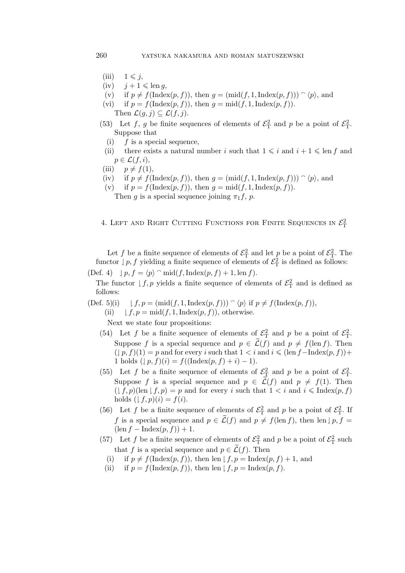- $(iii)$   $1 \leq j$ ,
- $(iv)$   $j + 1 \leqslant \text{len } g,$
- (v) if  $p \neq f(\text{Index}(p, f))$ , then  $q = (\text{mid}(f, 1, \text{Index}(p, f))) \cap (p)$ , and
- (vi) if  $p = f(\text{Index}(p, f))$ , then  $g = \text{mid}(f, 1, \text{Index}(p, f))$ . Then  $\mathcal{L}(g, j) \subseteq \mathcal{L}(f, j)$ .
- (53) Let f, g be finite sequences of elements of  $\mathcal{E}_{\rm T}^2$  and p be a point of  $\mathcal{E}_{\rm T}^2$ . Suppose that
	- (i)  $f$  is a special sequence,
- (ii) there exists a natural number i such that  $1 \leq i$  and  $i + 1 \leq \text{len } f$  and  $p \in \mathcal{L}(f, i),$
- (iii)  $p \neq f(1)$ ,
- (iv) if  $p \neq f(\text{Index}(p, f))$ , then  $g = (\text{mid}(f, 1, \text{Index}(p, f))) \cap \langle p \rangle$ , and
- (v) if  $p = f(\text{Index}(p, f))$ , then  $g = \text{mid}(f, 1, \text{Index}(p, f))$ .

Then g is a special sequence joining  $\pi_1 f$ , p.

4. LEFT AND RIGHT CUTTING FUNCTIONS FOR FINITE SEQUENCES IN  $\mathcal{E}_{\textrm{T}}^2$ 

Let f be a finite sequence of elements of  $\mathcal{E}_{\rm T}^2$  and let p be a point of  $\mathcal{E}_{\rm T}^2$ . The functor  $\downarrow p$ , f yielding a finite sequence of elements of  $\mathcal{E}_{\rm T}^2$  is defined as follows:

(Def. 4)  $\downarrow p, f = \langle p \rangle \cap \text{mid}(f, \text{Index}(p, f) + 1, \text{len } f).$ 

The functor  $\downarrow f, p$  yields a finite sequence of elements of  $\mathcal{E}_{\rm T}^2$  and is defined as follows:

(Def. 5)(i)  $| f, p = (mid(f, 1, Index(p, f))) \cap (p)$  if  $p \neq f(Index(p, f)),$ (ii)  $\downarrow f, p = \text{mid}(f, 1, \text{Index}(p, f)),$  otherwise. Next we state four propositions:

(54) Let f be a finite sequence of elements of  $\mathcal{E}_{\rm T}^2$  and p be a point of  $\mathcal{E}_{\rm T}^2$ .

- Suppose f is a special sequence and  $p \in \widetilde{\mathcal{L}}(f)$  and  $p \neq f(\text{len } f)$ . Then  $($ | $p, f)$ (1) = p and for every i such that 1 < i and i  $\leq$  (len f-Index $(p, f)$ )+ 1 holds  $( | p, f)(i) = f((\text{Index}(p, f) + i) - 1).$
- (55) Let f be a finite sequence of elements of  $\mathcal{E}_{\rm T}^2$  and p be a point of  $\mathcal{E}_{\rm T}^2$ . Suppose f is a special sequence and  $p \in \mathcal{L}(f)$  and  $p \neq f(1)$ . Then  $(\lfloor f, p \rfloor)(\operatorname{len} \lfloor f, p) = p$  and for every i such that  $1 \leq i$  and  $i \leq \operatorname{Index}(p, f)$ holds  $( \nvert f, p)(i) = f(i).$
- (56) Let f be a finite sequence of elements of  $\mathcal{E}_{\rm T}^2$  and p be a point of  $\mathcal{E}_{\rm T}^2$ . If f is a special sequence and  $p \in \widetilde{\mathcal{L}}(f)$  and  $p \neq f(\text{len } f)$ , then len  $|p, f| =$  $(\text{len } f - \text{Index}(p, f)) + 1.$
- (57) Let f be a finite sequence of elements of  $\mathcal{E}_{\rm T}^2$  and p be a point of  $\mathcal{E}_{\rm T}^2$  such that f is a special sequence and  $p \in \mathcal{L}(f)$ . Then
	- (i) if  $p \neq f(\text{Index}(p, f))$ , then len  $| f, p = \text{Index}(p, f) + 1$ , and
- (ii) if  $p = f(\text{Index}(p, f))$ , then len  $| f, p = \text{Index}(p, f)$ .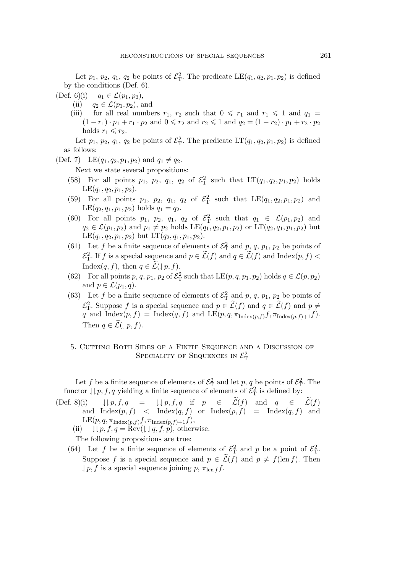Let  $p_1, p_2, q_1, q_2$  be points of  $\mathcal{E}^2$ . The predicate LE $(q_1, q_2, p_1, p_2)$  is defined by the conditions (Def. 6).

- (Def. 6)(i)  $q_1 \in \mathcal{L}(p_1, p_2)$ ,
	- (ii)  $q_2 \in \mathcal{L}(p_1, p_2)$ , and
	- (iii) for all real numbers  $r_1$ ,  $r_2$  such that  $0 \leq r_1$  and  $r_1 \leq 1$  and  $q_1 =$  $(1 - r_1) \cdot p_1 + r_1 \cdot p_2$  and  $0 \le r_2$  and  $r_2 \le 1$  and  $q_2 = (1 - r_2) \cdot p_1 + r_2 \cdot p_2$ holds  $r_1 \leqslant r_2$ .

Let  $p_1, p_2, q_1, q_2$  be points of  $\mathcal{E}^2$ . The predicate  $LT(q_1, q_2, p_1, p_2)$  is defined as follows:

(Def. 7) LE $(q_1, q_2, p_1, p_2)$  and  $q_1 \neq q_2$ .

Next we state several propositions:

- (58) For all points  $p_1$ ,  $p_2$ ,  $q_1$ ,  $q_2$  of  $\mathcal{E}_{\rm T}^2$  such that  $LT(q_1, q_2, p_1, p_2)$  holds  $LE(q_1, q_2, p_1, p_2).$
- (59) For all points  $p_1$ ,  $p_2$ ,  $q_1$ ,  $q_2$  of  $\mathcal{E}_{\rm T}^2$  such that  $\text{LE}(q_1, q_2, p_1, p_2)$  and  $LE(q_2, q_1, p_1, p_2)$  holds  $q_1 = q_2$ .
- (60) For all points  $p_1$ ,  $p_2$ ,  $q_1$ ,  $q_2$  of  $\mathcal{E}^2$  such that  $q_1 \in \mathcal{L}(p_1, p_2)$  and  $q_2 \in \mathcal{L}(p_1, p_2)$  and  $p_1 \neq p_2$  holds  $LE(q_1, q_2, p_1, p_2)$  or  $LT(q_2, q_1, p_1, p_2)$  but  $LE(q_1, q_2, p_1, p_2)$  but  $LT(q_2, q_1, p_1, p_2)$ .
- (61) Let f be a finite sequence of elements of  $\mathcal{E}_{\rm T}^2$  and p, q, p<sub>1</sub>, p<sub>2</sub> be points of  $\mathcal{E}_{\rm T}^2$ . If f is a special sequence and  $p \in \widetilde{\mathcal{L}}(f)$  and  $q \in \widetilde{\mathcal{L}}(f)$  and Index(p, f) < Index(q, f), then  $q \in \widetilde{\mathcal{L}}(\mid p, f)$ .
- (62) For all points p, q, p<sub>1</sub>, p<sub>2</sub> of  $\mathcal{E}_{\rm T}^2$  such that  $\text{LE}(p, q, p_1, p_2)$  holds  $q \in \mathcal{L}(p, p_2)$ and  $p \in \mathcal{L}(p_1, q)$ .
- (63) Let f be a finite sequence of elements of  $\mathcal{E}_{\rm T}^2$  and p, q, p<sub>1</sub>, p<sub>2</sub> be points of  $\mathcal{E}_{\rm T}^2$ . Suppose f is a special sequence and  $p \in \widetilde{\mathcal{L}}(f)$  and  $q \in \widetilde{\mathcal{L}}(f)$  and  $p \neq$ q and  $\text{Index}(p, f) = \text{Index}(q, f)$  and  $\text{LE}(p, q, \pi_{\text{Index}(p, f)}, f, \pi_{\text{Index}(p, f)+1}f).$ Then  $q \in \widetilde{\mathcal{L}}(\mid p, f)$ .

## 5. Cutting Both Sides of a Finite Sequence and a Discussion of SPECIALITY OF SEQUENCES IN  $\mathcal{E}_{\textrm{T}}^2$

Let f be a finite sequence of elements of  $\mathcal{E}_{\rm T}^2$  and let p, q be points of  $\mathcal{E}_{\rm T}^2$ . The functor  $\lfloor p, f, q \rfloor$  yielding a finite sequence of elements of  $\mathcal{E}_{\rm T}^2$  is defined by:

- (Def. 8)(i)  $\downarrow \downarrow p, f, q = \downarrow \downarrow p, f, q \text{ if } p \in \widetilde{\mathcal{L}}(f) \text{ and } q \in \widetilde{\mathcal{L}}(f)$ and  $\text{Index}(p, f)$  <  $\text{Index}(q, f)$  or  $\text{Index}(p, f)$  =  $\text{Index}(q, f)$  and  $\text{LE}(p, q, \pi_{\text{Index}(p, f)}f, \pi_{\text{Index}(p, f)+1}f),$ 
	- (ii)  $| \downarrow p, f, q = \text{Rev}( \downarrow | q, f, p), \text{ otherwise.}$
	- The following propositions are true:
	- (64) Let f be a finite sequence of elements of  $\mathcal{E}_{\rm T}^2$  and p be a point of  $\mathcal{E}_{\rm T}^2$ . Suppose f is a special sequence and  $p \in \widetilde{\mathcal{L}}(f)$  and  $p \neq f(\text{len } f)$ . Then  $\downarrow p, f$  is a special sequence joining p,  $\pi_{\text{len }f} f$ .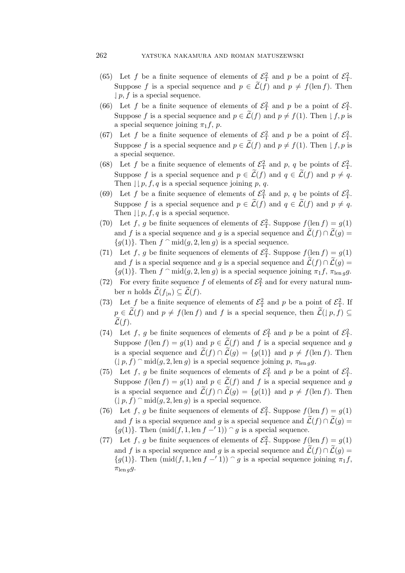- (65) Let f be a finite sequence of elements of  $\mathcal{E}_{\rm T}^2$  and p be a point of  $\mathcal{E}_{\rm T}^2$ . Suppose f is a special sequence and  $p \in \widetilde{\mathcal{L}}(f)$  and  $p \neq f(\text{len } f)$ . Then  $\downarrow$  p, f is a special sequence.
- (66) Let f be a finite sequence of elements of  $\mathcal{E}_{\rm T}^2$  and p be a point of  $\mathcal{E}_{\rm T}^2$ . Suppose f is a special sequence and  $p \in \widetilde{\mathcal{L}}(f)$  and  $p \neq f(1)$ . Then  $| f, p$  is a special sequence joining  $\pi_1 f$ , p.
- (67) Let f be a finite sequence of elements of  $\mathcal{E}_{\rm T}^2$  and p be a point of  $\mathcal{E}_{\rm T}^2$ . Suppose f is a special sequence and  $p \in \widetilde{\mathcal{L}}(f)$  and  $p \neq f(1)$ . Then  $| f, p$  is a special sequence.
- (68) Let f be a finite sequence of elements of  $\mathcal{E}_{\rm T}^2$  and p, q be points of  $\mathcal{E}_{\rm T}^2$ . Suppose f is a special sequence and  $p \in \mathcal{L}(f)$  and  $q \in \mathcal{L}(f)$  and  $p \neq q$ . Then  $\downarrow$  p, f, q is a special sequence joining p, q.
- (69) Let f be a finite sequence of elements of  $\mathcal{E}_{\rm T}^2$  and p, q be points of  $\mathcal{E}_{\rm T}^2$ . Suppose f is a special sequence and  $p \in \widetilde{\mathcal{L}}(f)$  and  $q \in \widetilde{\mathcal{L}}(f)$  and  $p \neq q$ . Then  $\downarrow$  p, f, q is a special sequence.
- (70) Let f, g be finite sequences of elements of  $\mathcal{E}_T^2$ . Suppose  $f(\text{len } f) = g(1)$ and f is a special sequence and g is a special sequence and  $\mathcal{L}(f) \cap \mathcal{L}(g) =$  ${g(1)}$ . Then  $f \cap \text{mid}(g, 2, \text{len } g)$  is a special sequence.
- (71) Let f, g be finite sequences of elements of  $\mathcal{E}_T^2$ . Suppose  $f(\text{len } f) = g(1)$ and f is a special sequence and g is a special sequence and  $\mathcal{L}(f) \cap \mathcal{L}(g) =$  ${g(1)}$ . Then  $f \cap \text{mid}(g, 2, \text{len } g)$  is a special sequence joining  $\pi_1 f$ ,  $\pi_{\text{len } g} g$ .
- (72) For every finite sequence f of elements of  $\mathcal{E}_{\rm T}^2$  and for every natural number *n* holds  $\mathcal{L}(f_{\mid n}) \subseteq \mathcal{L}(f)$ .
- (73) Let f be a finite sequence of elements of  $\mathcal{E}_{\rm T}^2$  and p be a point of  $\mathcal{E}_{\rm T}^2$ . If  $p \in \widetilde{\mathcal{L}}(f)$  and  $p \neq f(\text{len } f)$  and f is a special sequence, then  $\widetilde{\mathcal{L}}(\mid p, f) \subseteq$  $\mathcal{L}(f)$ .
- (74) Let f, g be finite sequences of elements of  $\mathcal{E}_{\rm T}^2$  and p be a point of  $\mathcal{E}_{\rm T}^2$ . Suppose  $f(\text{len } f) = g(1)$  and  $p \in \widetilde{\mathcal{L}}(f)$  and f is a special sequence and g is a special sequence and  $\mathcal{L}(f) \cap \mathcal{L}(g) = \{g(1)\}\$ and  $p \neq f(\text{len } f)$ . Then  $( | p, f) \cap \text{mid}(g, 2, \text{len } g)$  is a special sequence joining p,  $\pi_{\text{len } g}g$ .
- (75) Let f, g be finite sequences of elements of  $\mathcal{E}_{\rm T}^2$  and p be a point of  $\mathcal{E}_{\rm T}^2$ . Suppose  $f(\text{len } f) = g(1)$  and  $p \in \widetilde{\mathcal{L}}(f)$  and f is a special sequence and g is a special sequence and  $\mathcal{L}(f) \cap \mathcal{L}(q) = \{q(1)\}\$ and  $p \neq f(\text{len } f)$ . Then  $( | p, f) \cap \text{mid}(g, 2, \text{len } g)$  is a special sequence.
- (76) Let f, g be finite sequences of elements of  $\mathcal{E}_T^2$ . Suppose  $f(\text{len } f) = g(1)$ and f is a special sequence and g is a special sequence and  $\mathcal{L}(f) \cap \mathcal{L}(q) =$  ${g(1)}$ . Then  $(\text{mid}(f, 1, \text{len } f -' 1)) \cap g$  is a special sequence.
- (77) Let f, g be finite sequences of elements of  $\mathcal{E}_T^2$ . Suppose  $f(\text{len } f) = g(1)$ and f is a special sequence and g is a special sequence and  $\widetilde{\mathcal{L}}(f) \cap \widetilde{\mathcal{L}}(q) =$  ${g(1)}$ . Then (mid(f, 1, len f −′ 1))  $\cap$  g is a special sequence joining  $\pi_1 f$ ,  $\pi_{\text{len }g}g.$